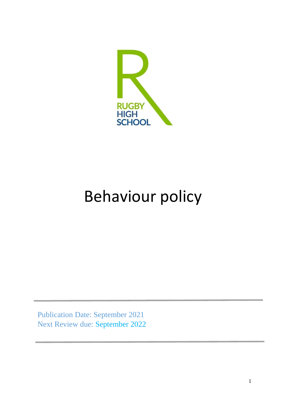

# Behaviour policy

Publication Date: September 2021 Next Review due: September 2022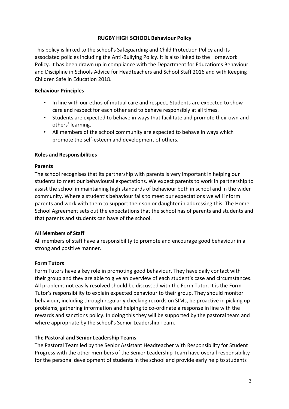#### **RUGBY HIGH SCHOOL Behaviour Policy**

This policy is linked to the school's Safeguarding and Child Protection Policy and its associated policies including the Anti-Bullying Policy. It is also linked to the Homework Policy. It has been drawn up in compliance with the Department for Education's Behaviour and Discipline in Schools Advice for Headteachers and School Staff 2016 and with Keeping Children Safe in Education 2018.

#### **Behaviour Principles**

- In line with our ethos of mutual care and respect, Students are expected to show care and respect for each other and to behave responsibly at all times.
- Students are expected to behave in ways that facilitate and promote their own and others' learning.
- All members of the school community are expected to behave in ways which promote the self-esteem and development of others.

#### **Roles and Responsibilities**

#### **Parents**

The school recognises that its partnership with parents is very important in helping our students to meet our behavioural expectations. We expect parents to work in partnership to assist the school in maintaining high standards of behaviour both in school and in the wider community. Where a student's behaviour fails to meet our expectations we will inform parents and work with them to support their son or daughter in addressing this. The Home School Agreement sets out the expectations that the school has of parents and students and that parents and students can have of the school.

## **All Members of Staff**

All members of staff have a responsibility to promote and encourage good behaviour in a strong and positive manner.

## **Form Tutors**

Form Tutors have a key role in promoting good behaviour. They have daily contact with their group and they are able to give an overview of each student's case and circumstances. All problems not easily resolved should be discussed with the Form Tutor. It is the Form Tutor's responsibility to explain expected behaviour to their group. They should monitor behaviour, including through regularly checking records on SIMs, be proactive in picking up problems, gathering information and helping to co-ordinate a response in line with the rewards and sanctions policy. In doing this they will be supported by the pastoral team and where appropriate by the school's Senior Leadership Team.

## **The Pastoral and Senior Leadership Teams**

The Pastoral Team led by the Senior Assistant Headteacher with Responsibility for Student Progress with the other members of the Senior Leadership Team have overall responsibility for the personal development of students in the school and provide early help to students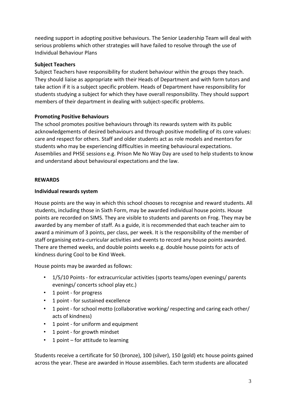needing support in adopting positive behaviours. The Senior Leadership Team will deal with serious problems which other strategies will have failed to resolve through the use of Individual Behaviour Plans

## **Subject Teachers**

Subject Teachers have responsibility for student behaviour within the groups they teach. They should liaise as appropriate with their Heads of Department and with form tutors and take action if it is a subject specific problem. Heads of Department have responsibility for students studying a subject for which they have overall responsibility. They should support members of their department in dealing with subject-specific problems.

## **Promoting Positive Behaviours**

The school promotes positive behaviours through its rewards system with its public acknowledgements of desired behaviours and through positive modelling of its core values: care and respect for others. Staff and older students act as role models and mentors for students who may be experiencing difficulties in meeting behavioural expectations. Assemblies and PHSE sessions e.g. Prison Me No Way Day are used to help students to know and understand about behavioural expectations and the law.

## **REWARDS**

## **Individual rewards system**

House points are the way in which this school chooses to recognise and reward students. All students, including those in Sixth Form, may be awarded individual house points. House points are recorded on SIMS. They are visible to students and parents on Frog. They may be awarded by any member of staff. As a guide, it is recommended that each teacher aim to award a minimum of 3 points, per class, per week. It is the responsibility of the member of staff organising extra-curricular activities and events to record any house points awarded. There are themed weeks, and double points weeks e.g. double house points for acts of kindness during Cool to be Kind Week.

House points may be awarded as follows:

- 1/5/10 Points for extracurricular activities (sports teams/open evenings/ parents evenings/ concerts school play etc.)
- 1 point for progress
- 1 point for sustained excellence
- 1 point for school motto (collaborative working/ respecting and caring each other/ acts of kindness)
- 1 point for uniform and equipment
- 1 point for growth mindset
- 1 point for attitude to learning

Students receive a certificate for 50 (bronze), 100 (silver), 150 (gold) etc house points gained across the year. These are awarded in House assemblies. Each term students are allocated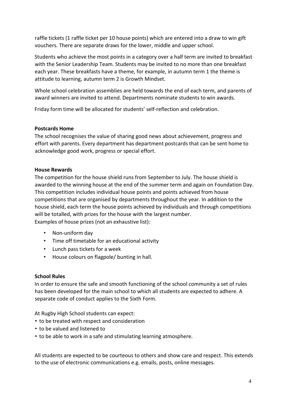raffle tickets (1 raffle ticket per 10 house points) which are entered into a draw to win gift vouchers. There are separate draws for the lower, middle and upper school.

Students who achieve the most points in a category over a half term are invited to breakfast with the Senior Leadership Team. Students may be invited to no more than one breakfast each year. These breakfasts have a theme, for example, in autumn term 1 the theme is attitude to learning, autumn term 2 is Growth Mindset.

Whole school celebration assemblies are held towards the end of each term, and parents of award winners are invited to attend. Departments nominate students to win awards.

Friday form time will be allocated for students' self-reflection and celebration.

#### **Postcards Home**

The school recognises the value of sharing good news about achievement, progress and effort with parents. Every department has department postcards that can be sent home to acknowledge good work, progress or special effort.

#### **House Rewards**

The competition for the house shield runs from September to July. The house shield is awarded to the winning house at the end of the summer term and again on Foundation Day. This competition includes individual house points and points achieved from house competitions that are organised by departments throughout the year. In addition to the house shield, each term the house points achieved by individuals and through competitions will be totalled, with prizes for the house with the largest number. Examples of house prizes (not an exhaustive list):

- Non-uniform day
- Time off timetable for an educational activity
- Lunch pass tickets for a week
- House colours on flagpole/ bunting in hall.

#### **School Rules**

In order to ensure the safe and smooth functioning of the school community a set of rules has been developed for the main school to which all students are expected to adhere. A separate code of conduct applies to the Sixth Form.

At Rugby High School students can expect:

- to be treated with respect and consideration
- to be valued and listened to
- to be able to work in a safe and stimulating learning atmosphere.

All students are expected to be courteous to others and show care and respect. This extends to the use of electronic communications e.g. emails, posts, online messages.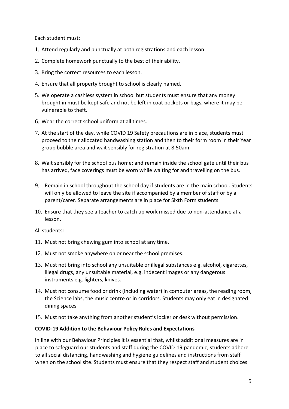Each student must:

- 1. Attend regularly and punctually at both registrations and each lesson.
- 2. Complete homework punctually to the best of their ability.
- 3. Bring the correct resources to each lesson.
- 4. Ensure that all property brought to school is clearly named.
- 5. We operate a cashless system in school but students must ensure that any money brought in must be kept safe and not be left in coat pockets or bags, where it may be vulnerable to theft.
- 6. Wear the correct school uniform at all times.
- 7. At the start of the day, while COVID 19 Safety precautions are in place, students must proceed to their allocated handwashing station and then to their form room in their Year group bubble area and wait sensibly for registration at 8.50am
- 8. Wait sensibly for the school bus home; and remain inside the school gate until their bus has arrived, face coverings must be worn while waiting for and travelling on the bus.
- 9. Remain in school throughout the school day if students are in the main school. Students will only be allowed to leave the site if accompanied by a member of staff or by a parent/carer. Separate arrangements are in place for Sixth Form students.
- 10. Ensure that they see a teacher to catch up work missed due to non-attendance at a lesson.

All students:

- 11. Must not bring chewing gum into school at any time.
- 12. Must not smoke anywhere on or near the school premises.
- 13. Must not bring into school any unsuitable or illegal substances e.g. alcohol, cigarettes, illegal drugs, any unsuitable material, e.g. indecent images or any dangerous instruments e.g. lighters, knives.
- 14. Must not consume food or drink (including water) in computer areas, the reading room, the Science labs, the music centre or in corridors. Students may only eat in designated dining spaces.
- 15. Must not take anything from another student's locker or desk without permission.

## **COVID-19 Addition to the Behaviour Policy Rules and Expectations**

In line with our Behaviour Principles it is essential that, whilst additional measures are in place to safeguard our students and staff during the COVID-19 pandemic, students adhere to all social distancing, handwashing and hygiene guidelines and instructions from staff when on the school site. Students must ensure that they respect staff and student choices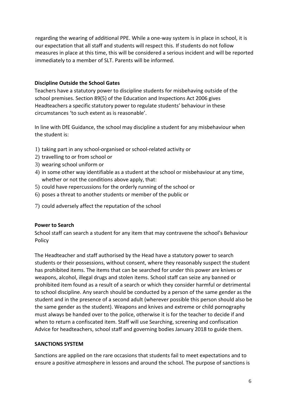regarding the wearing of additional PPE. While a one-way system is in place in school, it is our expectation that all staff and students will respect this. If students do not follow measures in place at this time, this will be considered a serious incident and will be reported immediately to a member of SLT. Parents will be informed.

## **Discipline Outside the School Gates**

Teachers have a statutory power to discipline students for misbehaving outside of the school premises. Section 89(5) of the Education and Inspections Act 2006 gives Headteachers a specific statutory power to regulate students' behaviour in these circumstances 'to such extent as is reasonable'.

In line with DfE Guidance, the school may discipline a student for any misbehaviour when the student is:

- 1) taking part in any school-organised or school-related activity or
- 2) travelling to or from school or
- 3) wearing school uniform or
- 4) in some other way identifiable as a student at the school or misbehaviour at any time, whether or not the conditions above apply, that:
- 5) could have repercussions for the orderly running of the school or
- 6) poses a threat to another students or member of the public or
- 7) could adversely affect the reputation of the school

## **Power to Search**

School staff can search a student for any item that may contravene the school's Behaviour Policy

The Headteacher and staff authorised by the Head have a statutory power to search students or their possessions, without consent, where they reasonably suspect the student has prohibited items. The items that can be searched for under this power are knives or weapons, alcohol, illegal drugs and stolen items. School staff can seize any banned or prohibited item found as a result of a search or which they consider harmful or detrimental to school discipline. Any search should be conducted by a person of the same gender as the student and in the presence of a second adult (wherever possible this person should also be the same gender as the student). Weapons and knives and extreme or child pornography must always be handed over to the police, otherwise it is for the teacher to decide if and when to return a confiscated item. Staff will use Searching, screening and confiscation Advice for headteachers, school staff and governing bodies January 2018 to guide them.

## **SANCTIONS SYSTEM**

Sanctions are applied on the rare occasions that students fail to meet expectations and to ensure a positive atmosphere in lessons and around the school. The purpose of sanctions is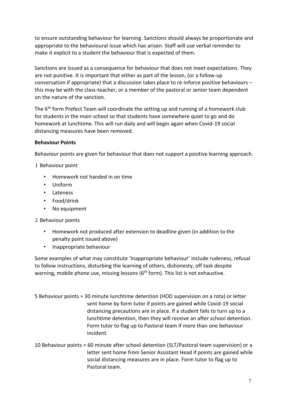to ensure outstanding behaviour for learning. Sanctions should always be proportionate and appropriate to the behavioural issue which has arisen. Staff will use verbal reminder to make it explicit to a student the behaviour that is expected of them.

Sanctions are issued as a consequence for behaviour that does not meet expectations. They are not punitive. It is important that either as part of the lesson, (or a follow-up conversation if appropriate) that a discussion takes place to re-inforce positive behaviours – this may be with the class-teacher, or a member of the pastoral or senior team dependent on the nature of the sanction.

The 6<sup>th</sup> form Prefect Team will coordinate the setting up and running of a homework club for students in the main school so that students have somewhere quiet to go and do homework at lunchtime. This will run daily and will begin again when Covid-19 social distancing measures have been removed.

## **Behaviour Points**

Behaviour points are given for behaviour that does not support a positive learning approach.

1 Behaviour point

- Homework not handed in on time
- Uniform
- Lateness
- Food/drink
- No equipment

## 2 Behaviour points

- Homework not produced after extension to deadline given (in addition to the penalty point issued above)
- Inappropriate behaviour

Some examples of what may constitute 'Inappropriate behaviour' include rudeness, refusal to follow instructions, disturbing the learning of others, dishonesty, off task despite warning, mobile phone use, missing lessons ( $6<sup>th</sup>$  form). This list is not exhaustive.

- 5 Behaviour points = 30 minute lunchtime detention (HOD supervision on a rota) or letter sent home by form tutor if points are gained while Covid-19 social distancing precautions are in place. If a student fails to turn up to a lunchtime detention, then they will receive an after school detention. Form tutor to flag up to Pastoral team if more than one behaviour incident.
- 10 Behaviour points = 60 minute after school detention (SLT/Pastoral team supervision) or a letter sent home from Senior Assistant Head if points are gained while social distancing measures are in place. Form tutor to flag up to Pastoral team.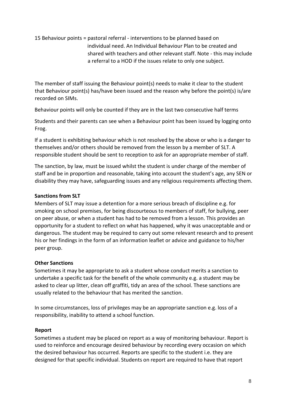## 15 Behaviour points = pastoral referral - interventions to be planned based on individual need. An Individual Behaviour Plan to be created and shared with teachers and other relevant staff. Note - this may include a referral to a HOD if the issues relate to only one subject.

The member of staff issuing the Behaviour point(s) needs to make it clear to the student that Behaviour point(s) has/have been issued and the reason why before the point(s) is/are recorded on SIMs.

Behaviour points will only be counted if they are in the last two consecutive half terms

Students and their parents can see when a Behaviour point has been issued by logging onto Frog.

If a student is exhibiting behaviour which is not resolved by the above or who is a danger to themselves and/or others should be removed from the lesson by a member of SLT. A responsible student should be sent to reception to ask for an appropriate member of staff.

The sanction, by law, must be issued whilst the student is under charge of the member of staff and be in proportion and reasonable, taking into account the student's age, any SEN or disability they may have, safeguarding issues and any religious requirements affecting them.

## **Sanctions from SLT**

Members of SLT may issue a detention for a more serious breach of discipline e.g. for smoking on school premises, for being discourteous to members of staff, for bullying, peer on peer abuse, or when a student has had to be removed from a lesson. This provides an opportunity for a student to reflect on what has happened, why it was unacceptable and or dangerous. The student may be required to carry out some relevant research and to present his or her findings in the form of an information leaflet or advice and guidance to his/her peer group.

## **Other Sanctions**

Sometimes it may be appropriate to ask a student whose conduct merits a sanction to undertake a specific task for the benefit of the whole community e.g. a student may be asked to clear up litter, clean off graffiti, tidy an area of the school. These sanctions are usually related to the behaviour that has merited the sanction.

In some circumstances, loss of privileges may be an appropriate sanction e.g. loss of a responsibility, inability to attend a school function.

## **Report**

Sometimes a student may be placed on report as a way of monitoring behaviour. Report is used to reinforce and encourage desired behaviour by recording every occasion on which the desired behaviour has occurred. Reports are specific to the student i.e. they are designed for that specific individual. Students on report are required to have that report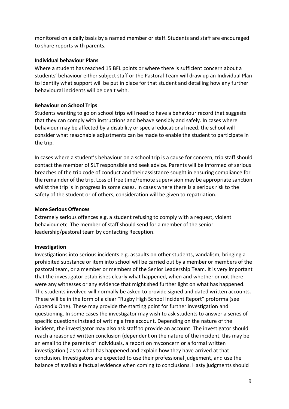monitored on a daily basis by a named member or staff. Students and staff are encouraged to share reports with parents.

## **Individual behaviour Plans**

Where a student has reached 15 BFL points or where there is sufficient concern about a students' behaviour either subject staff or the Pastoral Team will draw up an Individual Plan to identify what support will be put in place for that student and detailing how any further behavioural incidents will be dealt with.

## **Behaviour on School Trips**

Students wanting to go on school trips will need to have a behaviour record that suggests that they can comply with instructions and behave sensibly and safely. In cases where behaviour may be affected by a disability or special educational need, the school will consider what reasonable adjustments can be made to enable the student to participate in the trip.

In cases where a student's behaviour on a school trip is a cause for concern, trip staff should contact the member of SLT responsible and seek advice. Parents will be informed of serious breaches of the trip code of conduct and their assistance sought in ensuring compliance for the remainder of the trip. Loss of free time/remote supervision may be appropriate sanction whilst the trip is in progress in some cases. In cases where there is a serious risk to the safety of the student or of others, consideration will be given to repatriation.

#### **More Serious Offences**

Extremely serious offences e.g. a student refusing to comply with a request, violent behaviour etc. The member of staff should send for a member of the senior leadership/pastoral team by contacting Reception.

## **Investigation**

Investigations into serious incidents e.g. assaults on other students, vandalism, bringing a prohibited substance or item into school will be carried out by a member or members of the pastoral team, or a member or members of the Senior Leadership Team. It is very important that the investigator establishes clearly what happened, when and whether or not there were any witnesses or any evidence that might shed further light on what has happened. The students involved will normally be asked to provide signed and dated written accounts. These will be in the form of a clear "Rugby High School Incident Report" proforma (see Appendix One). These may provide the starting point for further investigation and questioning. In some cases the investigator may wish to ask students to answer a series of specific questions instead of writing a free account. Depending on the nature of the incident, the investigator may also ask staff to provide an account. The investigator should reach a reasoned written conclusion (dependent on the nature of the incident, this may be an email to the parents of individuals, a report on myconcern or a formal written investigation.) as to what has happened and explain how they have arrived at that conclusion. Investigators are expected to use their professional judgement, and use the balance of available factual evidence when coming to conclusions. Hasty judgments should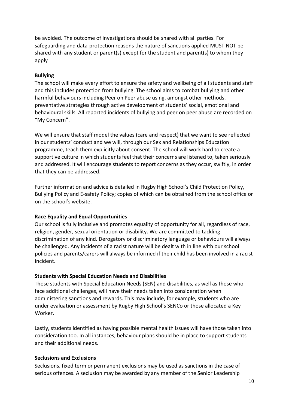be avoided. The outcome of investigations should be shared with all parties. For safeguarding and data-protection reasons the nature of sanctions applied MUST NOT be shared with any student or parent(s) except for the student and parent(s) to whom they apply

## **Bullying**

The school will make every effort to ensure the safety and wellbeing of all students and staff and this includes protection from bullying. The school aims to combat bullying and other harmful behaviours including Peer on Peer abuse using, amongst other methods, preventative strategies through active development of students' social, emotional and behavioural skills. All reported incidents of bullying and peer on peer abuse are recorded on "My Concern".

We will ensure that staff model the values (care and respect) that we want to see reflected in our students' conduct and we will, through our Sex and Relationships Education programme, teach them explicitly about consent. The school will work hard to create a supportive culture in which students feel that their concerns are listened to, taken seriously and addressed. It will encourage students to report concerns as they occur, swiftly, in order that they can be addressed.

Further information and advice is detailed in Rugby High School's Child Protection Policy, Bullying Policy and E-safety Policy; copies of which can be obtained from the school office or on the school's website.

## **Race Equality and Equal Opportunities**

Our school is fully inclusive and promotes equality of opportunity for all, regardless of race, religion, gender, sexual orientation or disability. We are committed to tackling discrimination of any kind. Derogatory or discriminatory language or behaviours will always be challenged. Any incidents of a racist nature will be dealt with in line with our school policies and parents/carers will always be informed if their child has been involved in a racist incident.

## **Students with Special Education Needs and Disabilities**

Those students with Special Education Needs (SEN) and disabilities, as well as those who face additional challenges, will have their needs taken into consideration when administering sanctions and rewards. This may include, for example, students who are under evaluation or assessment by Rugby High School's SENCo or those allocated a Key Worker.

Lastly, students identified as having possible mental health issues will have those taken into consideration too. In all instances, behaviour plans should be in place to support students and their additional needs.

## **Seclusions and Exclusions**

Seclusions, fixed term or permanent exclusions may be used as sanctions in the case of serious offences. A seclusion may be awarded by any member of the Senior Leadership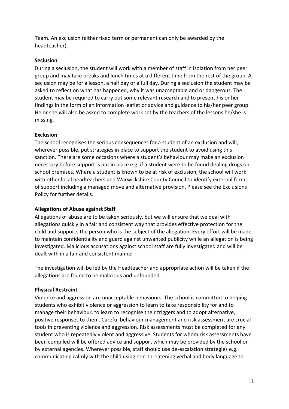Team. An exclusion (either fixed term or permanent can only be awarded by the headteacher).

## **Seclusion**

During a seclusion, the student will work with a member of staff in isolation from her peer group and may take breaks and lunch times at a different time from the rest of the group. A seclusion may be for a lesson, a half day or a full day. During a seclusion the student may be asked to reflect on what has happened, why it was unacceptable and or dangerous. The student may be required to carry out some relevant research and to present his or her findings in the form of an information leaflet or advice and guidance to his/her peer group. He or she will also be asked to complete work set by the teachers of the lessons he/she is missing.

## **Exclusion**

The school recognises the serious consequences for a student of an exclusion and will, wherever possible, put strategies in place to support the student to avoid using this sanction. There are some occasions where a student's behaviour may make an exclusion necessary before support is put in place e.g. if a student were to be found dealing drugs on school premises. Where a student is known to be at risk of exclusion, the school will work with other local headteachers and Warwickshire County Council to identify external forms of support including a managed move and alternative provision. Please see the Exclusions Policy for further details.

## **Allegations of Abuse against Staff**

Allegations of abuse are to be taken seriously, but we will ensure that we deal with allegations quickly in a fair and consistent way that provides effective protection for the child and supports the person who is the subject of the allegation. Every effort will be made to maintain confidentiality and guard against unwanted publicity while an allegation is being investigated. Malicious accusations against school staff are fully investigated and will be dealt with in a fair and consistent manner.

The investigation will be led by the Headteacher and appropriate action will be taken if the allegations are found to be malicious and unfounded.

## **Physical Restraint**

Violence and aggression are unacceptable behaviours. The school is committed to helping students who exhibit violence or aggression to learn to take responsibility for and to manage their behaviour, to learn to recognise their triggers and to adopt alternative, positive responses to them. Careful behaviour management and risk assessment are crucial tools in preventing violence and aggression. Risk assessments must be completed for any student who is repeatedly violent and aggressive. Students for whom risk assessments have been compiled will be offered advice and support which may be provided by the school or by external agencies. Wherever possible, staff should use de-escalation strategies e.g. communicating calmly with the child using non-threatening verbal and body language to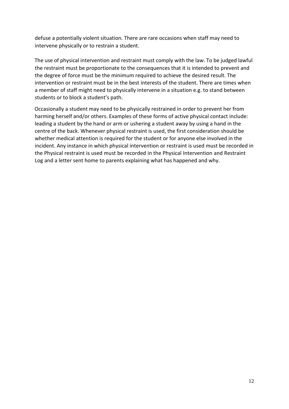defuse a potentially violent situation. There are rare occasions when staff may need to intervene physically or to restrain a student.

The use of physical intervention and restraint must comply with the law. To be judged lawful the restraint must be proportionate to the consequences that it is intended to prevent and the degree of force must be the minimum required to achieve the desired result. The intervention or restraint must be in the best interests of the student. There are times when a member of staff might need to physically intervene in a situation e.g. to stand between students or to block a student's path.

Occasionally a student may need to be physically restrained in order to prevent her from harming herself and/or others. Examples of these forms of active physical contact include: leading a student by the hand or arm or ushering a student away by using a hand in the centre of the back. Whenever physical restraint is used, the first consideration should be whether medical attention is required for the student or for anyone else involved in the incident. Any instance in which physical intervention or restraint is used must be recorded in the Physical restraint is used must be recorded in the Physical Intervention and Restraint Log and a letter sent home to parents explaining what has happened and why.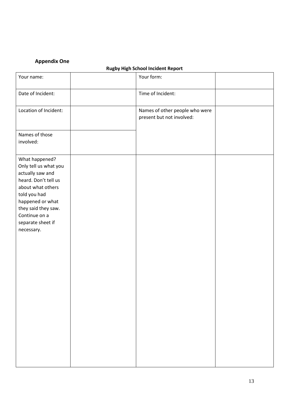## **Appendix One**

## **Rugby High School Incident Report**

| Your name:                                                                                                                                                                                                              | Your form:                                                  |  |
|-------------------------------------------------------------------------------------------------------------------------------------------------------------------------------------------------------------------------|-------------------------------------------------------------|--|
| Date of Incident:                                                                                                                                                                                                       | Time of Incident:                                           |  |
| Location of Incident:                                                                                                                                                                                                   | Names of other people who were<br>present but not involved: |  |
| Names of those<br>involved:                                                                                                                                                                                             |                                                             |  |
| What happened?<br>Only tell us what you<br>actually saw and<br>heard. Don't tell us<br>about what others<br>told you had<br>happened or what<br>they said they saw.<br>Continue on a<br>separate sheet if<br>necessary. |                                                             |  |